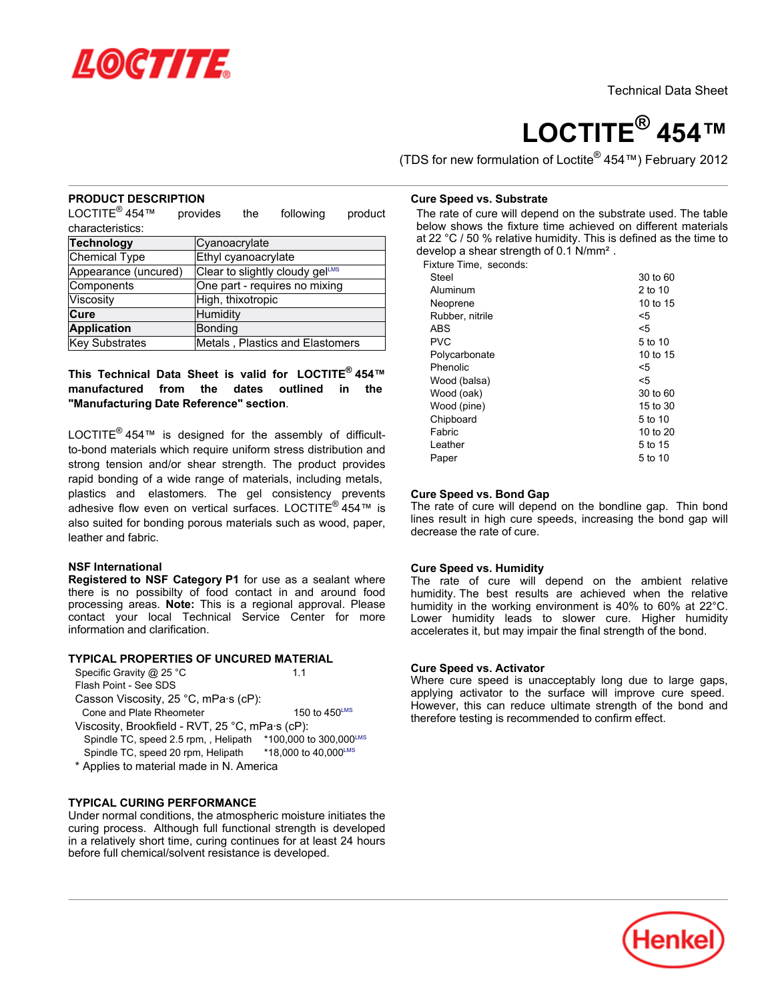

# **LOCTITE® 454™**

(TDS for new formulation of Loctite® 454™) February 2012

## **PRODUCT DESCRIPTION**

LOCTITE<sup>®</sup> 454™ provides the following product characteristics:

| <b>Technology</b>    | Cyanoacrylate                   |
|----------------------|---------------------------------|
| Chemical Type        | Ethyl cyanoacrylate             |
| Appearance (uncured) | Clear to slightly cloudy gelLMS |
| Components           | One part - requires no mixing   |
| Viscosity            | High, thixotropic               |
| Cure                 | Humidity                        |
| <b>Application</b>   | <b>Bonding</b>                  |
| Key Substrates       | Metals, Plastics and Elastomers |

## **This Technical Data Sheet is valid for LOCTITE® 454™ manufactured from the dates outlined in the "Manufacturing Date Reference" section**.

LOCTITE<sup>®</sup> 454™ is designed for the assembly of difficultto-bond materials which require uniform stress distribution and strong tension and/or shear strength. The product provides rapid bonding of a wide range of materials, including metals, plastics and elastomers. The gel consistency prevents adhesive flow even on vertical surfaces. LOCTITE® 454™ is also suited for bonding porous materials such as wood, paper, leather and fabric.

### **NSF International**

**Registered to NSF Category P1** for use as a sealant where there is no possibilty of food contact in and around food processing areas. **Note:** This is a regional approval. Please contact your local Technical Service Center for more information and clarification.

## **TYPICAL PROPERTIES OF UNCURED MATERIAL**

| Specific Gravity @ 25 °C<br>Flash Point - See SDS | 11                        |
|---------------------------------------------------|---------------------------|
| Casson Viscosity, 25 °C, mPa s (cP):              |                           |
| Cone and Plate Rheometer                          | 150 to $450^{\text{LMS}}$ |

- Viscosity, Brookfield RVT, 25 °C, mPa·s (cP): Spindle TC, speed 2.5 rpm,, Helipath \*100,000 to 300,000LMS Spindle TC, speed 20 rpm, Helipath \*18,000 to 40,000LMS
- \* Applies to material made in N. America

### **TYPICAL CURING PERFORMANCE**

Under normal conditions, the atmospheric moisture initiates the curing process. Although full functional strength is developed in a relatively short time, curing continues for at least 24 hours before full chemical/solvent resistance is developed.

#### **Cure Speed vs. Substrate**

The rate of cure will depend on the substrate used. The table below shows the fixture time achieved on different materials at 22 °C / 50 % relative humidity. This is defined as the time to develop a shear strength of 0.1 N/mm².

Fixture Time, seconds:

| Steel           | 30 to 60 |
|-----------------|----------|
| Aluminum        | 2 to 10  |
| Neoprene        | 10 to 15 |
| Rubber, nitrile | <5       |
| <b>ABS</b>      | <5       |
| <b>PVC</b>      | 5 to 10  |
| Polycarbonate   | 10 to 15 |
| Phenolic        | <5       |
| Wood (balsa)    | <5       |
| Wood (oak)      | 30 to 60 |
| Wood (pine)     | 15 to 30 |
| Chipboard       | 5 to 10  |
| Fabric          | 10 to 20 |
| Leather         | 5 to 15  |
| Paper           | 5 to 10  |
|                 |          |

### **Cure Speed vs. Bond Gap**

The rate of cure will depend on the bondline gap. Thin bond lines result in high cure speeds, increasing the bond gap will decrease the rate of cure.

### **Cure Speed vs. Humidity**

The rate of cure will depend on the ambient relative humidity. The best results are achieved when the relative humidity in the working environment is 40% to 60% at 22°C. Lower humidity leads to slower cure. Higher humidity accelerates it, but may impair the final strength of the bond.

### **Cure Speed vs. Activator**

Where cure speed is unacceptably long due to large gaps, applying activator to the surface will improve cure speed. However, this can reduce ultimate strength of the bond and therefore testing is recommended to confirm effect.

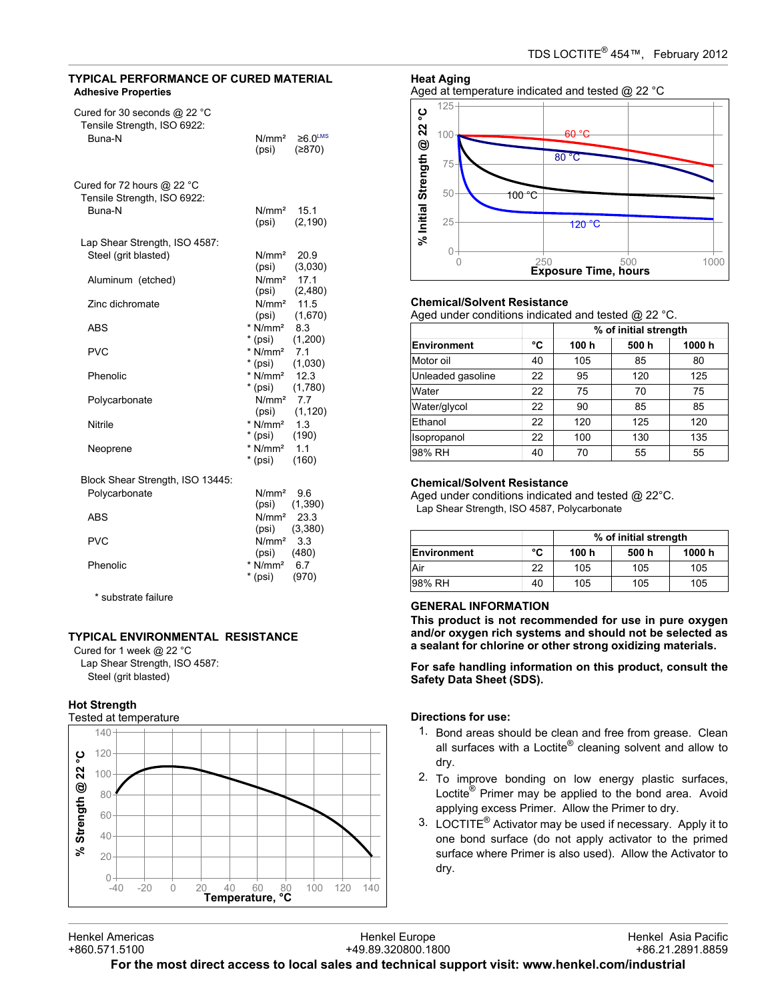## **TYPICAL PERFORMANCE OF CURED MATERIAL Adhesive Properties**

| Cured for 30 seconds $@$ 22 °C<br>Tensile Strength, ISO 6922:         |                                  |                                     |
|-----------------------------------------------------------------------|----------------------------------|-------------------------------------|
| Buna-N                                                                | N/mm <sup>2</sup><br>(psi)       | $\geq 6.0$ <sup>LMS</sup><br>(2870) |
| Cured for 72 hours $@$ 22 $^{\circ}$ C<br>Tensile Strength, ISO 6922: |                                  |                                     |
| Buna-N                                                                | N/mm <sup>2</sup><br>(psi)       | 15.1<br>(2, 190)                    |
| Lap Shear Strength, ISO 4587:                                         |                                  |                                     |
| Steel (grit blasted)                                                  | N/mm <sup>2</sup><br>(psi)       | 20.9<br>(3,030)                     |
| Aluminum (etched)                                                     | N/mm <sup>2</sup><br>(psi)       | 17.1<br>(2,480)                     |
| Zinc dichromate                                                       | $N/mm2$ 11.5<br>(psi)            | (1,670)                             |
| ABS                                                                   | * $N/mm^2$ 8.3<br>* (psi)        | (1,200)                             |
| <b>PVC</b>                                                            | $*$ N/mm <sup>2</sup><br>* (psi) | 7.1<br>(1,030)                      |
| Phenolic                                                              | * $N/mm^2$ 12.3<br>* (psi)       | (1,780)                             |
| Polycarbonate                                                         | $N/mm2$ 7.7<br>(psi)             | (1, 120)                            |
| Nitrile                                                               | * $N/mm^2$ 1.3<br>$*$ (psi)      | (190)                               |
| Neoprene                                                              | $*$ N/mm <sup>2</sup><br>* (psi) | 1.1<br>(160)                        |
| Block Shear Strength, ISO 13445:                                      |                                  |                                     |
| Polycarbonate                                                         | N/mm <sup>2</sup><br>(psi)       | 9.6<br>(1,390)                      |
| ABS                                                                   | N/mm <sup>2</sup><br>(psi)       | 23.3<br>(3,380)                     |
| <b>PVC</b>                                                            | N/mm <sup>2</sup><br>(psi)       | 3.3<br>(480)                        |
| Phenolic                                                              | $*$ N/mm <sup>2</sup><br>* (psi) | 6.7<br>(970)                        |

\* substrate failure

# **TYPICAL ENVIRONMENTAL RESISTANCE**

Cured for 1 week @ 22 °C Lap Shear Strength, ISO 4587: Steel (grit blasted)

## **Hot Strength**







### **Chemical/Solvent Resistance**

Aged under conditions indicated and tested @ 22 °C.

|                   |    |       | % of initial strength |       |
|-------------------|----|-------|-----------------------|-------|
| Environment       | °C | 100 h | 500h                  | 1000h |
| Motor oil         | 40 | 105   | 85                    | 80    |
| Unleaded gasoline | 22 | 95    | 120                   | 125   |
| Water             | 22 | 75    | 70                    | 75    |
| Water/glycol      | 22 | 90    | 85                    | 85    |
| Ethanol           | 22 | 120   | 125                   | 120   |
| Isopropanol       | 22 | 100   | 130                   | 135   |
| 98% RH            | 40 | 70    | 55                    | 55    |

### **Chemical/Solvent Resistance**

Aged under conditions indicated and tested @ 22°C. Lap Shear Strength, ISO 4587, Polycarbonate

|             |    | % of initial strength |       |        |
|-------------|----|-----------------------|-------|--------|
| Environment | °C | 100 h                 | 500 h | 1000 h |
| Air         | 22 | 105                   | 105   | 105    |
| 98% RH      | 40 | 105                   | 105   | 105    |

## **GENERAL INFORMATION**

**This product is not recommended for use in pure oxygen and/or oxygen rich systems and should not be selected as a sealant for chlorine or other strong oxidizing materials.**

**For safe handling information on this product, consult the Safety Data Sheet (SDS).**

## **Directions for use:**

- 1. Bond areas should be clean and free from grease. Clean all surfaces with a Loctite® cleaning solvent and allow to dry.
- 2. To improve bonding on low energy plastic surfaces, Loctite<sup>®</sup> Primer may be applied to the bond area. Avoid applying excess Primer. Allow the Primer to dry.
- 3. LOCTITE® Activator may be used if necessary. Apply it to one bond surface (do not apply activator to the primed surface where Primer is also used). Allow the Activator to dry.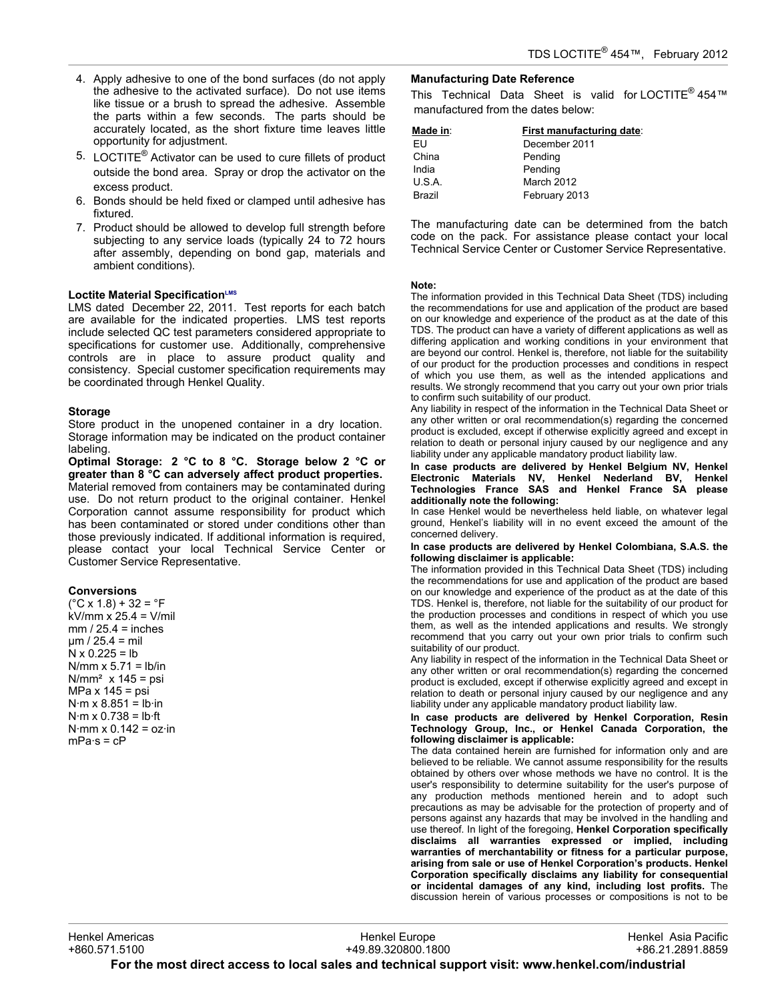- 4. Apply adhesive to one of the bond surfaces (do not apply the adhesive to the activated surface). Do not use items like tissue or a brush to spread the adhesive. Assemble the parts within a few seconds. The parts should be accurately located, as the short fixture time leaves little opportunity for adjustment.
- 5. LOCTITE<sup>®</sup> Activator can be used to cure fillets of product outside the bond area. Spray or drop the activator on the excess product.
- 6. Bonds should be held fixed or clamped until adhesive has fixtured.
- 7. Product should be allowed to develop full strength before subjecting to any service loads (typically 24 to 72 hours after assembly, depending on bond gap, materials and ambient conditions).

### **Loctite Material SpecificationLMS**

LMS dated December 22, 2011. Test reports for each batch are available for the indicated properties. LMS test reports include selected QC test parameters considered appropriate to specifications for customer use. Additionally, comprehensive controls are in place to assure product quality and consistency. Special customer specification requirements may be coordinated through Henkel Quality.

#### **Storage**

Store product in the unopened container in a dry location. Storage information may be indicated on the product container labeling.

**Optimal Storage: 2 °C to 8 °C. Storage below 2 °C or greater than 8 °C can adversely affect product properties.** Material removed from containers may be contaminated during use. Do not return product to the original container. Henkel Corporation cannot assume responsibility for product which has been contaminated or stored under conditions other than those previously indicated. If additional information is required, please contact your local Technical Service Center or Customer Service Representative.

### **Conversions**

 $(^{\circ}C \times 1.8) + 32 = ^{\circ}F$ kV/mm x 25.4 = V/mil  $mm / 25.4 = inches$  $µm / 25.4 = mli$  $N \times 0.225 = lb$  $N/mm \times 5.71 = lb/in$  $N/mm<sup>2</sup>$  x 145 = psi MPa x 145 = psi  $N·m \times 8.851 = lb·in$  $N·m \times 0.738 = lb·ft$ N·mm  $x$  0.142 =  $oz \cdot in$  $mPa·s = cP$ 

## **Manufacturing Date Reference**

This Technical Data Sheet is valid for LOCTITE<sup>®</sup> 454™ manufactured from the dates below:

| Made in: | First manufacturing date: |
|----------|---------------------------|
| FU       | December 2011             |
| China    | Pending                   |
| India    | Pending                   |
| U.S.A.   | March 2012                |
| Brazil   | February 2013             |

The manufacturing date can be determined from the batch code on the pack. For assistance please contact your local Technical Service Center or Customer Service Representative.

#### **Note:**

The information provided in this Technical Data Sheet (TDS) including the recommendations for use and application of the product are based on our knowledge and experience of the product as at the date of this TDS. The product can have a variety of different applications as well as differing application and working conditions in your environment that are beyond our control. Henkel is, therefore, not liable for the suitability of our product for the production processes and conditions in respect of which you use them, as well as the intended applications and results. We strongly recommend that you carry out your own prior trials to confirm such suitability of our product.

Any liability in respect of the information in the Technical Data Sheet or any other written or oral recommendation(s) regarding the concerned product is excluded, except if otherwise explicitly agreed and except in relation to death or personal injury caused by our negligence and any liability under any applicable mandatory product liability law.

**In case products are delivered by Henkel Belgium NV, Henkel Electronic Materials NV, Henkel Nederland BV, Henkel Technologies France SAS and Henkel France SA please additionally note the following:** 

In case Henkel would be nevertheless held liable, on whatever legal ground, Henkel's liability will in no event exceed the amount of the concerned delivery.

#### **In case products are delivered by Henkel Colombiana, S.A.S. the following disclaimer is applicable:**

The information provided in this Technical Data Sheet (TDS) including the recommendations for use and application of the product are based on our knowledge and experience of the product as at the date of this TDS. Henkel is, therefore, not liable for the suitability of our product for the production processes and conditions in respect of which you use them, as well as the intended applications and results. We strongly recommend that you carry out your own prior trials to confirm such suitability of our product.

Any liability in respect of the information in the Technical Data Sheet or any other written or oral recommendation(s) regarding the concerned product is excluded, except if otherwise explicitly agreed and except in relation to death or personal injury caused by our negligence and any liability under any applicable mandatory product liability law.

**In case products are delivered by Henkel Corporation, Resin Technology Group, Inc., or Henkel Canada Corporation, the following disclaimer is applicable:**

The data contained herein are furnished for information only and are believed to be reliable. We cannot assume responsibility for the results obtained by others over whose methods we have no control. It is the user's responsibility to determine suitability for the user's purpose of any production methods mentioned herein and to adopt such precautions as may be advisable for the protection of property and of persons against any hazards that may be involved in the handling and use thereof. In light of the foregoing, **Henkel Corporation specifically disclaims all warranties expressed or implied, including warranties of merchantability or fitness for a particular purpose, arising from sale or use of Henkel Corporation's products. Henkel Corporation specifically disclaims any liability for consequential or incidental damages of any kind, including lost profits.** The discussion herein of various processes or compositions is not to be